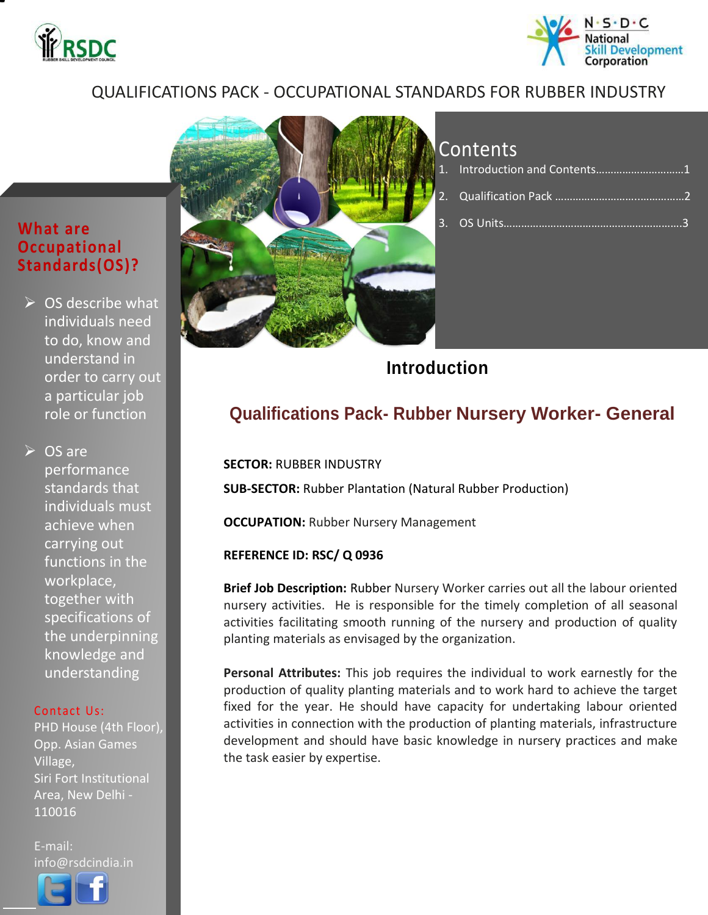



### QUALIFICATIONS PACK - OCCUPATIONAL STANDARDS FOR RUBBER INDUSTRY

### **What are Occupational Standards(OS)?**

 $\triangleright$  OS describe what individuals need to do, know and understand in order to carry out a particular job role or function

**≻** OS are performance standards that individuals must achieve when carrying out functions in the workplace, together with specifications of the underpinning knowledge and understanding

#### Contact Us:

PHD House (4th Floor), Opp. Asian Games Village, Siri Fort Institutional Area, New Delhi - 110016

E-mail: info@rsdcindia.in

l



## Contents

| 1. Introduction and Contents1 |  |
|-------------------------------|--|
|                               |  |
|                               |  |

**Introduction**

## **Qualifications Pack- Rubber Nursery Worker- General**

**SECTOR:** RUBBER INDUSTRY **SUB-SECTOR:** Rubber Plantation (Natural Rubber Production)

**OCCUPATION: Rubber Nursery Management** 

### **REFERENCE ID: RSC/ Q 0936**

**Brief Job Description:** Rubber Nursery Worker carries out all the labour oriented nursery activities. He is responsible for the timely completion of all seasonal activities facilitating smooth running of the nursery and production of quality planting materials as envisaged by the organization.

**Personal Attributes:** This job requires the individual to work earnestly for the production of quality planting materials and to work hard to achieve the target fixed for the year. He should have capacity for undertaking labour oriented activities in connection with the production of planting materials, infrastructure development and should have basic knowledge in nursery practices and make the task easier by expertise.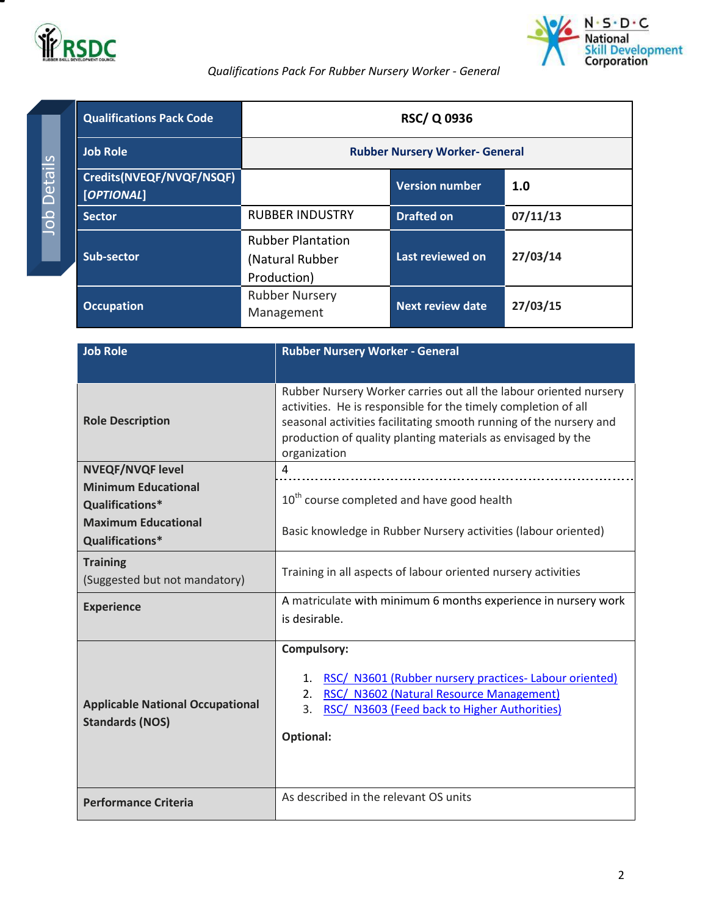



#### *Qualifications Pack For Rubber Nursery Worker - General*

<span id="page-1-0"></span>

| <b>Qualifications Pack Code</b>        | <b>RSC/Q0936</b>                                           |                         |          |
|----------------------------------------|------------------------------------------------------------|-------------------------|----------|
| <b>Job Role</b>                        | <b>Rubber Nursery Worker- General</b>                      |                         |          |
| Credits(NVEQF/NVQF/NSQF)<br>[OPTIONAL] |                                                            | <b>Version number</b>   | 1.0      |
| <b>Sector</b>                          | <b>RUBBER INDUSTRY</b>                                     | <b>Drafted on</b>       | 07/11/13 |
| Sub-sector                             | <b>Rubber Plantation</b><br>(Natural Rubber<br>Production) | Last reviewed on        | 27/03/14 |
| <b>Occupation</b>                      | <b>Rubber Nursery</b><br>Management                        | <b>Next review date</b> | 27/03/15 |

| <b>Job Role</b>                                                                                                           | <b>Rubber Nursery Worker - General</b>                                                                                                                                                                                                                                                    |
|---------------------------------------------------------------------------------------------------------------------------|-------------------------------------------------------------------------------------------------------------------------------------------------------------------------------------------------------------------------------------------------------------------------------------------|
| <b>Role Description</b>                                                                                                   | Rubber Nursery Worker carries out all the labour oriented nursery<br>activities. He is responsible for the timely completion of all<br>seasonal activities facilitating smooth running of the nursery and<br>production of quality planting materials as envisaged by the<br>organization |
| <b>NVEQF/NVQF level</b><br><b>Minimum Educational</b><br>Qualifications*<br><b>Maximum Educational</b><br>Qualifications* | 4<br>10 <sup>th</sup> course completed and have good health<br>Basic knowledge in Rubber Nursery activities (labour oriented)                                                                                                                                                             |
| <b>Training</b><br>(Suggested but not mandatory)<br><b>Experience</b>                                                     | Training in all aspects of labour oriented nursery activities<br>A matriculate with minimum 6 months experience in nursery work                                                                                                                                                           |
|                                                                                                                           | is desirable.                                                                                                                                                                                                                                                                             |
| <b>Applicable National Occupational</b><br><b>Standards (NOS)</b>                                                         | <b>Compulsory:</b><br>RSC/ N3601 (Rubber nursery practices-Labour oriented)<br>1.<br>RSC/ N3602 (Natural Resource Management)<br>2.<br>RSC/ N3603 (Feed back to Higher Authorities)<br>3.<br><b>Optional:</b>                                                                             |
| <b>Performance Criteria</b>                                                                                               | As described in the relevant OS units                                                                                                                                                                                                                                                     |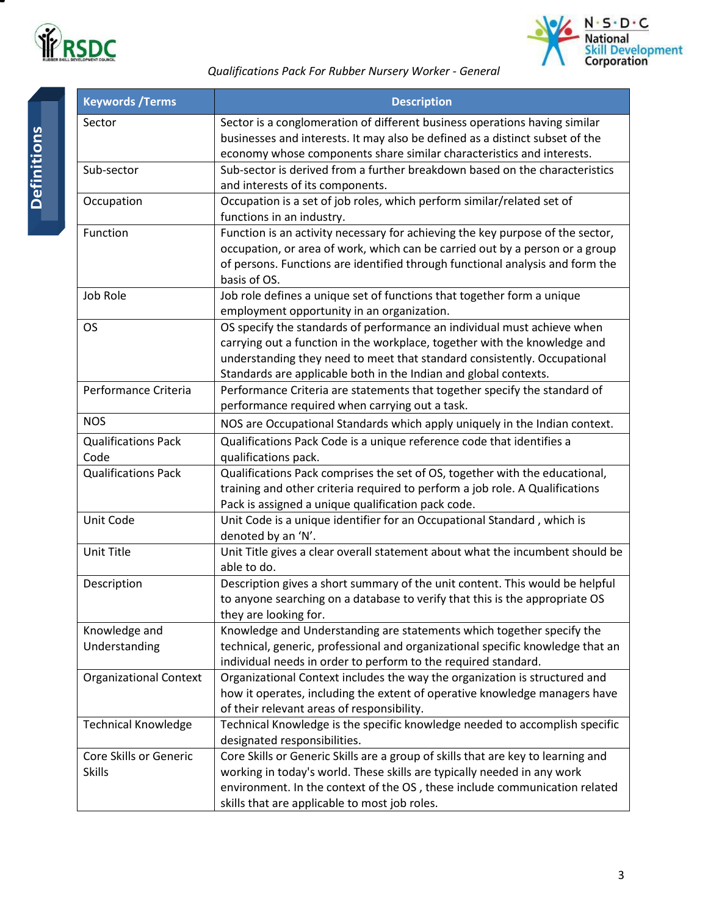



#### *Qualifications Pack For Rubber Nursery Worker - General*

| <b>Keywords / Terms</b>       | <b>Description</b>                                                                                                                                         |
|-------------------------------|------------------------------------------------------------------------------------------------------------------------------------------------------------|
| Sector                        | Sector is a conglomeration of different business operations having similar<br>businesses and interests. It may also be defined as a distinct subset of the |
|                               | economy whose components share similar characteristics and interests.                                                                                      |
| Sub-sector                    | Sub-sector is derived from a further breakdown based on the characteristics                                                                                |
|                               | and interests of its components.                                                                                                                           |
| Occupation                    | Occupation is a set of job roles, which perform similar/related set of                                                                                     |
|                               | functions in an industry.                                                                                                                                  |
| Function                      | Function is an activity necessary for achieving the key purpose of the sector,                                                                             |
|                               | occupation, or area of work, which can be carried out by a person or a group                                                                               |
|                               | of persons. Functions are identified through functional analysis and form the                                                                              |
|                               | basis of OS.                                                                                                                                               |
| Job Role                      | Job role defines a unique set of functions that together form a unique                                                                                     |
|                               | employment opportunity in an organization.                                                                                                                 |
| <b>OS</b>                     | OS specify the standards of performance an individual must achieve when                                                                                    |
|                               | carrying out a function in the workplace, together with the knowledge and                                                                                  |
|                               | understanding they need to meet that standard consistently. Occupational                                                                                   |
|                               | Standards are applicable both in the Indian and global contexts.                                                                                           |
| Performance Criteria          | Performance Criteria are statements that together specify the standard of                                                                                  |
|                               | performance required when carrying out a task.                                                                                                             |
| <b>NOS</b>                    | NOS are Occupational Standards which apply uniquely in the Indian context.                                                                                 |
| <b>Qualifications Pack</b>    | Qualifications Pack Code is a unique reference code that identifies a                                                                                      |
| Code                          | qualifications pack.                                                                                                                                       |
| <b>Qualifications Pack</b>    | Qualifications Pack comprises the set of OS, together with the educational,                                                                                |
|                               | training and other criteria required to perform a job role. A Qualifications                                                                               |
|                               | Pack is assigned a unique qualification pack code.                                                                                                         |
| Unit Code                     | Unit Code is a unique identifier for an Occupational Standard, which is                                                                                    |
|                               | denoted by an 'N'.                                                                                                                                         |
| Unit Title                    | Unit Title gives a clear overall statement about what the incumbent should be                                                                              |
|                               | able to do.                                                                                                                                                |
| Description                   | Description gives a short summary of the unit content. This would be helpful                                                                               |
|                               | to anyone searching on a database to verify that this is the appropriate OS                                                                                |
|                               | they are looking for.                                                                                                                                      |
| Knowledge and                 | Knowledge and Understanding are statements which together specify the                                                                                      |
| Understanding                 | technical, generic, professional and organizational specific knowledge that an                                                                             |
|                               | individual needs in order to perform to the required standard.                                                                                             |
| <b>Organizational Context</b> | Organizational Context includes the way the organization is structured and                                                                                 |
|                               | how it operates, including the extent of operative knowledge managers have                                                                                 |
|                               | of their relevant areas of responsibility.                                                                                                                 |
| <b>Technical Knowledge</b>    | Technical Knowledge is the specific knowledge needed to accomplish specific                                                                                |
|                               | designated responsibilities.                                                                                                                               |
| Core Skills or Generic        | Core Skills or Generic Skills are a group of skills that are key to learning and                                                                           |
| <b>Skills</b>                 | working in today's world. These skills are typically needed in any work                                                                                    |
|                               | environment. In the context of the OS, these include communication related                                                                                 |
|                               | skills that are applicable to most job roles.                                                                                                              |

Ξ.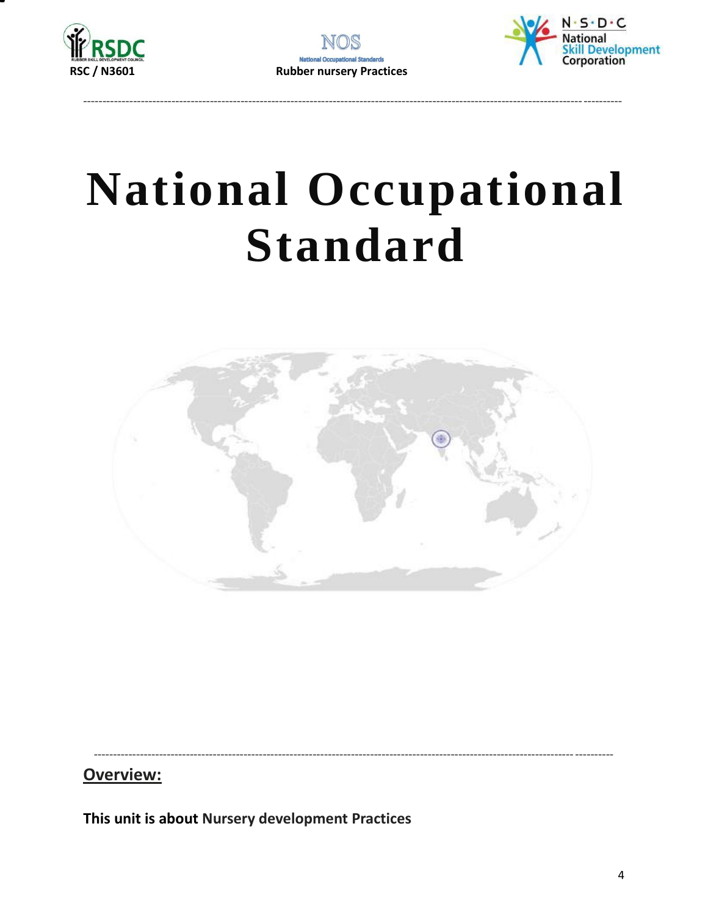





# **National Occupational Standard**



Overview:

<span id="page-3-0"></span>This unit is about Nursery development Practices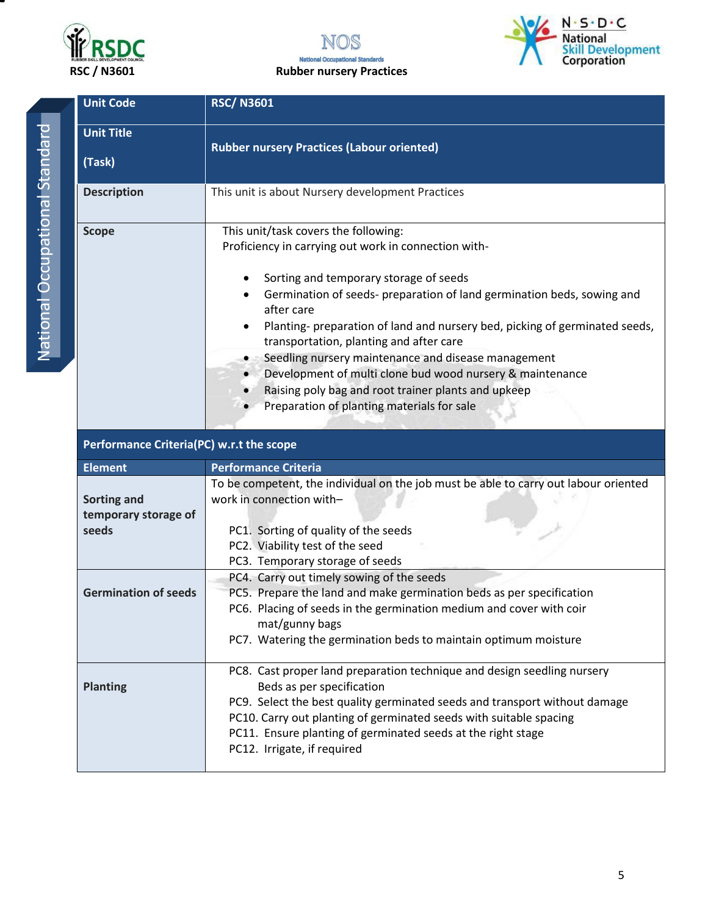

NOS **National Occupational Standards** RSC / N3601 Rubber nursery Practices



| <b>Unit Code</b>                             | <b>RSC/N3601</b>                                                                                                                                                                                                                                                                                                                                                                                                                                                                                                                                                                  |  |  |
|----------------------------------------------|-----------------------------------------------------------------------------------------------------------------------------------------------------------------------------------------------------------------------------------------------------------------------------------------------------------------------------------------------------------------------------------------------------------------------------------------------------------------------------------------------------------------------------------------------------------------------------------|--|--|
| <b>Unit Title</b>                            | <b>Rubber nursery Practices (Labour oriented)</b>                                                                                                                                                                                                                                                                                                                                                                                                                                                                                                                                 |  |  |
| (Task)                                       |                                                                                                                                                                                                                                                                                                                                                                                                                                                                                                                                                                                   |  |  |
| <b>Description</b>                           | This unit is about Nursery development Practices                                                                                                                                                                                                                                                                                                                                                                                                                                                                                                                                  |  |  |
| <b>Scope</b>                                 | This unit/task covers the following:<br>Proficiency in carrying out work in connection with-<br>Sorting and temporary storage of seeds<br>Germination of seeds- preparation of land germination beds, sowing and<br>after care<br>Planting- preparation of land and nursery bed, picking of germinated seeds,<br>transportation, planting and after care<br>Seedling nursery maintenance and disease management<br>Development of multi clone bud wood nursery & maintenance<br>Raising poly bag and root trainer plants and upkeep<br>Preparation of planting materials for sale |  |  |
|                                              | Performance Criteria(PC) w.r.t the scope                                                                                                                                                                                                                                                                                                                                                                                                                                                                                                                                          |  |  |
|                                              |                                                                                                                                                                                                                                                                                                                                                                                                                                                                                                                                                                                   |  |  |
| <b>Element</b>                               | <b>Performance Criteria</b>                                                                                                                                                                                                                                                                                                                                                                                                                                                                                                                                                       |  |  |
| Sorting and<br>temporary storage of<br>seeds | To be competent, the individual on the job must be able to carry out labour oriented<br>work in connection with-<br>PC1. Sorting of quality of the seeds<br>PC2. Viability test of the seed<br>PC3. Temporary storage of seeds                                                                                                                                                                                                                                                                                                                                                    |  |  |
| <b>Germination of seeds</b>                  | PC4. Carry out timely sowing of the seeds<br>PC5. Prepare the land and make germination beds as per specification<br>PC6. Placing of seeds in the germination medium and cover with coir<br>mat/gunny bags<br>PC7. Watering the germination beds to maintain optimum moisture                                                                                                                                                                                                                                                                                                     |  |  |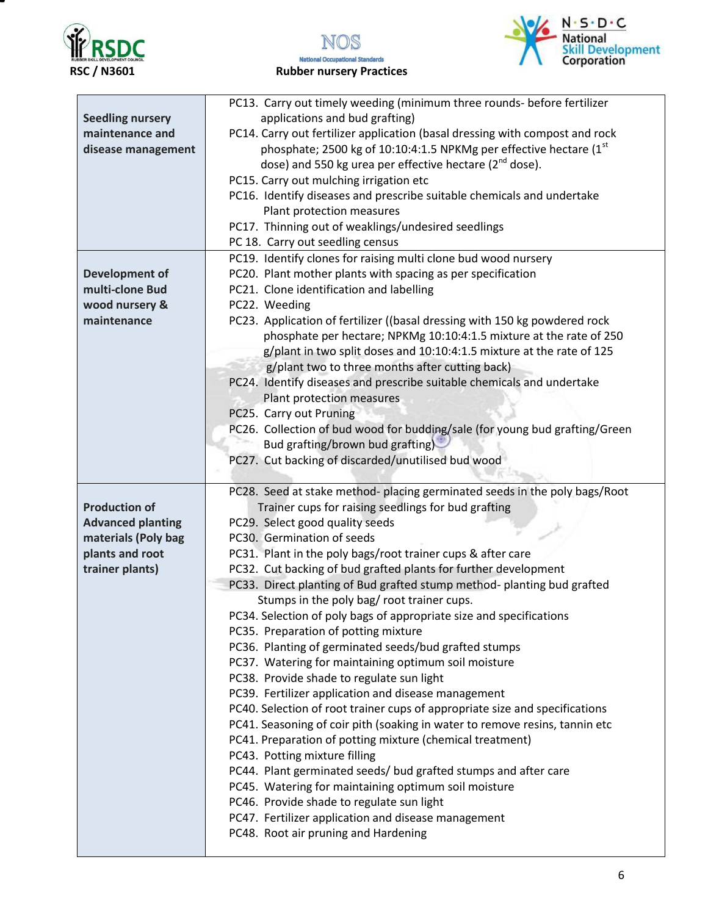

т

NOS **National Occupational Standards** 



RSC / N3601 Rubber nursery Practices

|                                            | PC13. Carry out timely weeding (minimum three rounds- before fertilizer<br>applications and bud grafting)                                            |
|--------------------------------------------|------------------------------------------------------------------------------------------------------------------------------------------------------|
| <b>Seedling nursery</b><br>maintenance and |                                                                                                                                                      |
|                                            | PC14. Carry out fertilizer application (basal dressing with compost and rock<br>phosphate; 2500 kg of 10:10:4:1.5 NPKMg per effective hectare $(1st$ |
| disease management                         | dose) and 550 kg urea per effective hectare ( $2^{nd}$ dose).                                                                                        |
|                                            | PC15. Carry out mulching irrigation etc                                                                                                              |
|                                            | PC16. Identify diseases and prescribe suitable chemicals and undertake                                                                               |
|                                            |                                                                                                                                                      |
|                                            | Plant protection measures                                                                                                                            |
|                                            | PC17. Thinning out of weaklings/undesired seedlings                                                                                                  |
|                                            | PC 18. Carry out seedling census                                                                                                                     |
|                                            | PC19. Identify clones for raising multi clone bud wood nursery                                                                                       |
| <b>Development of</b>                      | PC20. Plant mother plants with spacing as per specification                                                                                          |
| multi-clone Bud                            | PC21. Clone identification and labelling                                                                                                             |
| wood nursery &                             | PC22. Weeding                                                                                                                                        |
| maintenance                                | PC23. Application of fertilizer ((basal dressing with 150 kg powdered rock                                                                           |
|                                            | phosphate per hectare; NPKMg 10:10:4:1.5 mixture at the rate of 250                                                                                  |
|                                            | g/plant in two split doses and 10:10:4:1.5 mixture at the rate of 125                                                                                |
|                                            | g/plant two to three months after cutting back)                                                                                                      |
|                                            | PC24. Identify diseases and prescribe suitable chemicals and undertake                                                                               |
|                                            | Plant protection measures                                                                                                                            |
|                                            | PC25. Carry out Pruning                                                                                                                              |
|                                            | PC26. Collection of bud wood for budding/sale (for young bud grafting/Green                                                                          |
|                                            | Bud grafting/brown bud grafting)                                                                                                                     |
|                                            | PC27. Cut backing of discarded/unutilised bud wood                                                                                                   |
|                                            |                                                                                                                                                      |
|                                            | PC28. Seed at stake method- placing germinated seeds in the poly bags/Root                                                                           |
|                                            |                                                                                                                                                      |
| <b>Production of</b>                       | Trainer cups for raising seedlings for bud grafting                                                                                                  |
| <b>Advanced planting</b>                   | PC29. Select good quality seeds                                                                                                                      |
| materials (Poly bag                        | PC30. Germination of seeds                                                                                                                           |
| plants and root                            | PC31. Plant in the poly bags/root trainer cups & after care                                                                                          |
| trainer plants)                            | PC32. Cut backing of bud grafted plants for further development                                                                                      |
|                                            | PC33. Direct planting of Bud grafted stump method- planting bud grafted                                                                              |
|                                            | Stumps in the poly bag/ root trainer cups.                                                                                                           |
|                                            | PC34. Selection of poly bags of appropriate size and specifications                                                                                  |
|                                            | PC35. Preparation of potting mixture                                                                                                                 |
|                                            | PC36. Planting of germinated seeds/bud grafted stumps                                                                                                |
|                                            | PC37. Watering for maintaining optimum soil moisture                                                                                                 |
|                                            | PC38. Provide shade to regulate sun light                                                                                                            |
|                                            | PC39. Fertilizer application and disease management                                                                                                  |
|                                            | PC40. Selection of root trainer cups of appropriate size and specifications                                                                          |
|                                            | PC41. Seasoning of coir pith (soaking in water to remove resins, tannin etc                                                                          |
|                                            | PC41. Preparation of potting mixture (chemical treatment)                                                                                            |
|                                            | PC43. Potting mixture filling                                                                                                                        |
|                                            | PC44. Plant germinated seeds/ bud grafted stumps and after care                                                                                      |
|                                            | PC45. Watering for maintaining optimum soil moisture                                                                                                 |
|                                            | PC46. Provide shade to regulate sun light                                                                                                            |
|                                            | PC47. Fertilizer application and disease management                                                                                                  |
|                                            | PC48. Root air pruning and Hardening                                                                                                                 |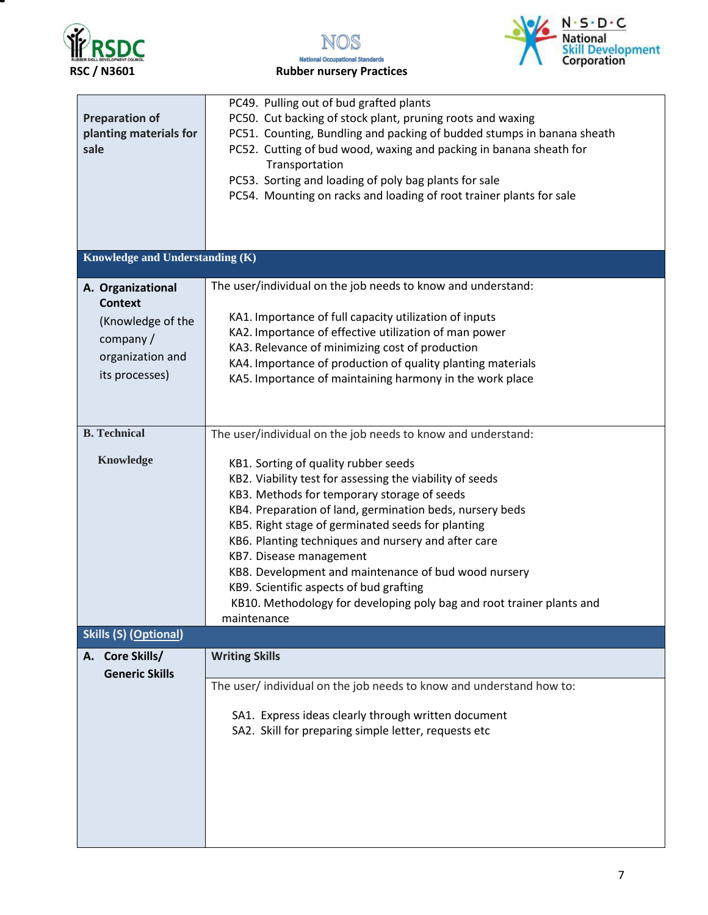

NOS **National Occupational Standards** 



| <b>Preparation of</b><br>planting materials for<br>sale                                                    | PC49. Pulling out of bud grafted plants<br>PC50. Cut backing of stock plant, pruning roots and waxing<br>PC51. Counting, Bundling and packing of budded stumps in banana sheath<br>PC52. Cutting of bud wood, waxing and packing in banana sheath for<br>Transportation<br>PC53. Sorting and loading of poly bag plants for sale<br>PC54. Mounting on racks and loading of root trainer plants for sale                                                                                                                                       |
|------------------------------------------------------------------------------------------------------------|-----------------------------------------------------------------------------------------------------------------------------------------------------------------------------------------------------------------------------------------------------------------------------------------------------------------------------------------------------------------------------------------------------------------------------------------------------------------------------------------------------------------------------------------------|
|                                                                                                            |                                                                                                                                                                                                                                                                                                                                                                                                                                                                                                                                               |
| Knowledge and Understanding (K)                                                                            |                                                                                                                                                                                                                                                                                                                                                                                                                                                                                                                                               |
| A. Organizational<br><b>Context</b><br>(Knowledge of the<br>company/<br>organization and<br>its processes) | The user/individual on the job needs to know and understand:<br>KA1. Importance of full capacity utilization of inputs<br>KA2. Importance of effective utilization of man power<br>KA3. Relevance of minimizing cost of production<br>KA4. Importance of production of quality planting materials<br>KA5. Importance of maintaining harmony in the work place                                                                                                                                                                                 |
| <b>B.</b> Technical                                                                                        | The user/individual on the job needs to know and understand:                                                                                                                                                                                                                                                                                                                                                                                                                                                                                  |
| <b>Knowledge</b>                                                                                           | KB1. Sorting of quality rubber seeds<br>KB2. Viability test for assessing the viability of seeds<br>KB3. Methods for temporary storage of seeds<br>KB4. Preparation of land, germination beds, nursery beds<br>KB5. Right stage of germinated seeds for planting<br>KB6. Planting techniques and nursery and after care<br>KB7. Disease management<br>KB8. Development and maintenance of bud wood nursery<br>KB9. Scientific aspects of bud grafting<br>KB10. Methodology for developing poly bag and root trainer plants and<br>maintenance |
| <b>Skills (S) (Optional)</b>                                                                               |                                                                                                                                                                                                                                                                                                                                                                                                                                                                                                                                               |
| A. Core Skills/<br><b>Generic Skills</b>                                                                   | <b>Writing Skills</b><br>The user/ individual on the job needs to know and understand how to:<br>SA1. Express ideas clearly through written document<br>SA2. Skill for preparing simple letter, requests etc                                                                                                                                                                                                                                                                                                                                  |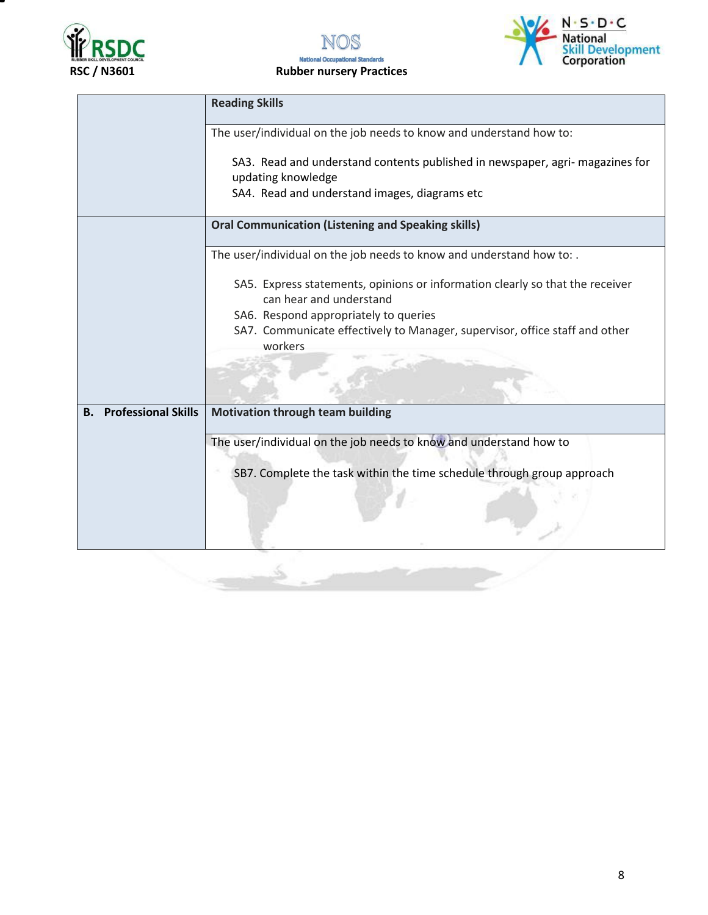

NOS **National Occupational Standards RSC / N3601** Rubber nursery Practices



|                                  | <b>Reading Skills</b>                                                                                    |
|----------------------------------|----------------------------------------------------------------------------------------------------------|
|                                  | The user/individual on the job needs to know and understand how to:                                      |
|                                  | SA3. Read and understand contents published in newspaper, agri- magazines for<br>updating knowledge      |
|                                  | SA4. Read and understand images, diagrams etc                                                            |
|                                  | <b>Oral Communication (Listening and Speaking skills)</b>                                                |
|                                  | The user/individual on the job needs to know and understand how to: .                                    |
|                                  | SA5. Express statements, opinions or information clearly so that the receiver<br>can hear and understand |
|                                  | SA6. Respond appropriately to queries                                                                    |
|                                  | SA7. Communicate effectively to Manager, supervisor, office staff and other<br>workers                   |
|                                  |                                                                                                          |
|                                  |                                                                                                          |
| <b>Professional Skills</b><br>В. | <b>Motivation through team building</b>                                                                  |
|                                  | The user/individual on the job needs to know and understand how to                                       |
|                                  | SB7. Complete the task within the time schedule through group approach                                   |
|                                  |                                                                                                          |
|                                  |                                                                                                          |
|                                  |                                                                                                          |
|                                  |                                                                                                          |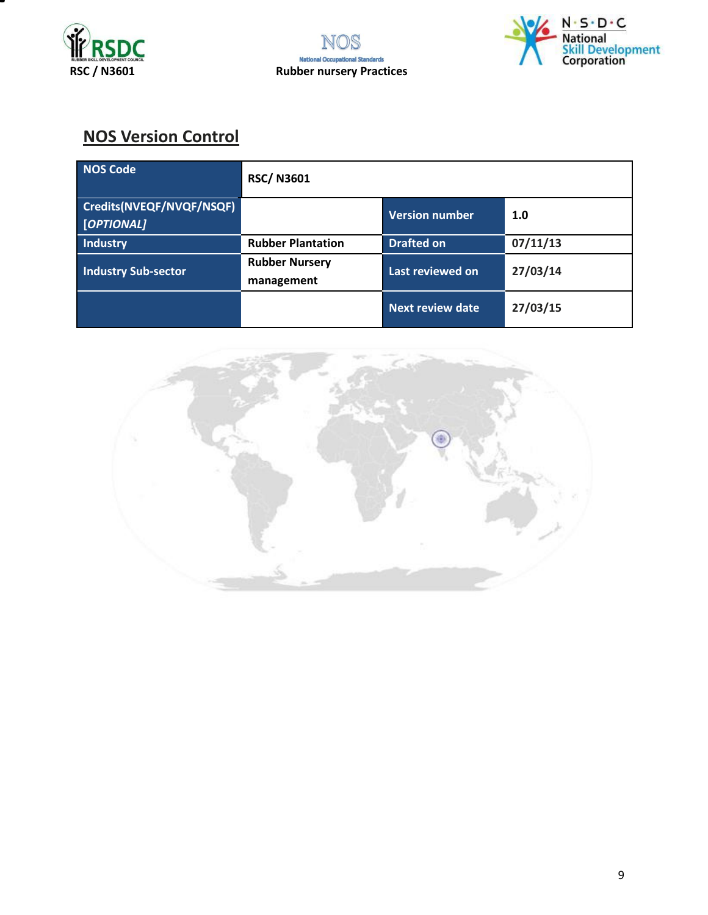





## **NOS Version Control**

| NOS Code                               | <b>RSC/N3601</b>                    |                         |          |
|----------------------------------------|-------------------------------------|-------------------------|----------|
| Credits(NVEQF/NVQF/NSQF)<br>[OPTIONAL] |                                     | <b>Version number</b>   | 1.0      |
| Industry                               | <b>Rubber Plantation</b>            | <b>Drafted on</b>       | 07/11/13 |
| <b>Industry Sub-sector</b>             | <b>Rubber Nursery</b><br>management | Last reviewed on        | 27/03/14 |
|                                        |                                     | <b>Next review date</b> | 27/03/15 |

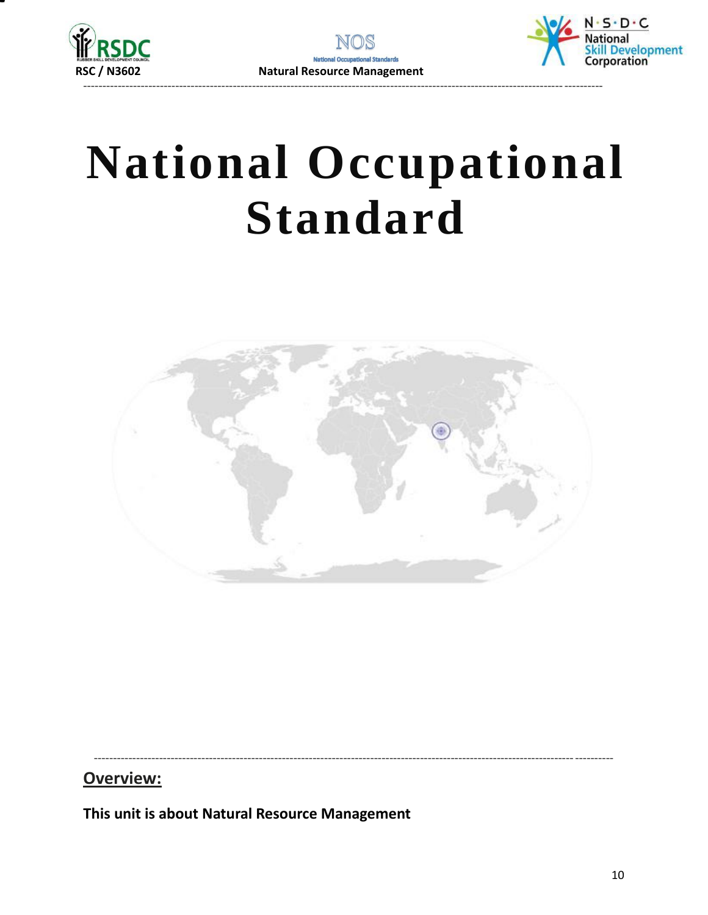



# **National Occupational Standard**



### Overview:

<span id="page-9-0"></span>This unit is about Natural Resource Management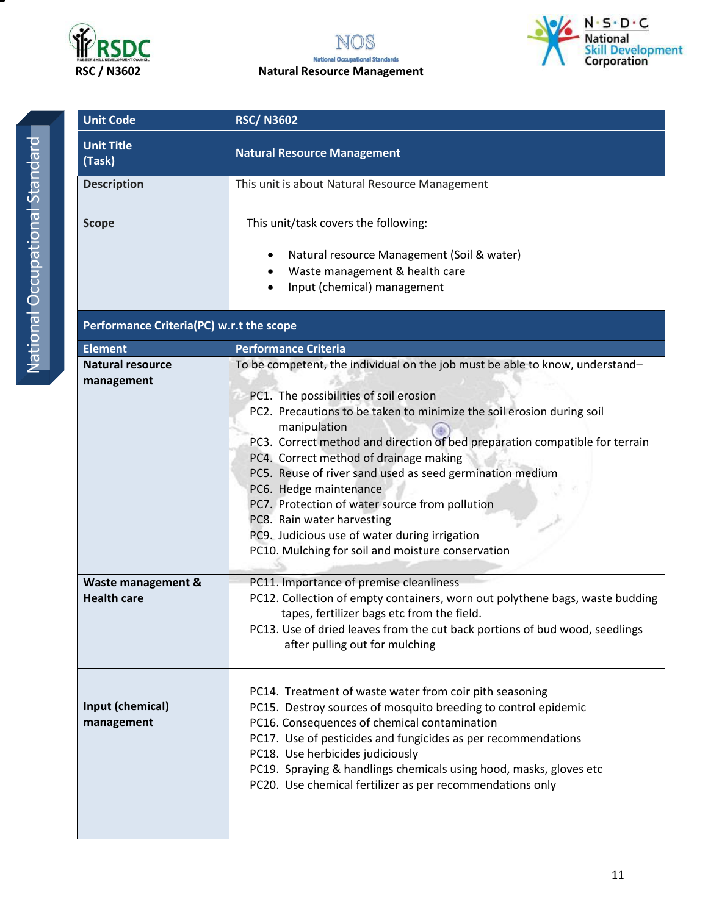





| <b>Unit Code</b>                                            | <b>RSC/N3602</b>                                                                                                                                                                                                                                                                                                                                                                                                                                                                                                                                                                                                     |  |
|-------------------------------------------------------------|----------------------------------------------------------------------------------------------------------------------------------------------------------------------------------------------------------------------------------------------------------------------------------------------------------------------------------------------------------------------------------------------------------------------------------------------------------------------------------------------------------------------------------------------------------------------------------------------------------------------|--|
| <b>Unit Title</b><br>(Task)                                 | <b>Natural Resource Management</b>                                                                                                                                                                                                                                                                                                                                                                                                                                                                                                                                                                                   |  |
| <b>Description</b>                                          | This unit is about Natural Resource Management                                                                                                                                                                                                                                                                                                                                                                                                                                                                                                                                                                       |  |
| <b>Scope</b>                                                | This unit/task covers the following:<br>Natural resource Management (Soil & water)<br>Waste management & health care<br>Input (chemical) management                                                                                                                                                                                                                                                                                                                                                                                                                                                                  |  |
| Performance Criteria(PC) w.r.t the scope                    |                                                                                                                                                                                                                                                                                                                                                                                                                                                                                                                                                                                                                      |  |
| <b>Element</b>                                              | <b>Performance Criteria</b>                                                                                                                                                                                                                                                                                                                                                                                                                                                                                                                                                                                          |  |
| <b>Natural resource</b><br>management<br>Waste management & | To be competent, the individual on the job must be able to know, understand-<br>PC1. The possibilities of soil erosion<br>PC2. Precautions to be taken to minimize the soil erosion during soil<br>manipulation<br>PC3. Correct method and direction of bed preparation compatible for terrain<br>PC4. Correct method of drainage making<br>PC5. Reuse of river sand used as seed germination medium<br>PC6. Hedge maintenance<br>PC7. Protection of water source from pollution<br>PC8. Rain water harvesting<br>PC9. Judicious use of water during irrigation<br>PC10. Mulching for soil and moisture conservation |  |
| <b>Health care</b>                                          | PC11. Importance of premise cleanliness<br>PC12. Collection of empty containers, worn out polythene bags, waste budding<br>tapes, fertilizer bags etc from the field.<br>PC13. Use of dried leaves from the cut back portions of bud wood, seedlings<br>after pulling out for mulching<br>PC14. Treatment of waste water from coir pith seasoning                                                                                                                                                                                                                                                                    |  |
| Input (chemical)<br>management                              | PC15. Destroy sources of mosquito breeding to control epidemic<br>PC16. Consequences of chemical contamination<br>PC17. Use of pesticides and fungicides as per recommendations<br>PC18. Use herbicides judiciously<br>PC19. Spraying & handlings chemicals using hood, masks, gloves etc<br>PC20. Use chemical fertilizer as per recommendations only                                                                                                                                                                                                                                                               |  |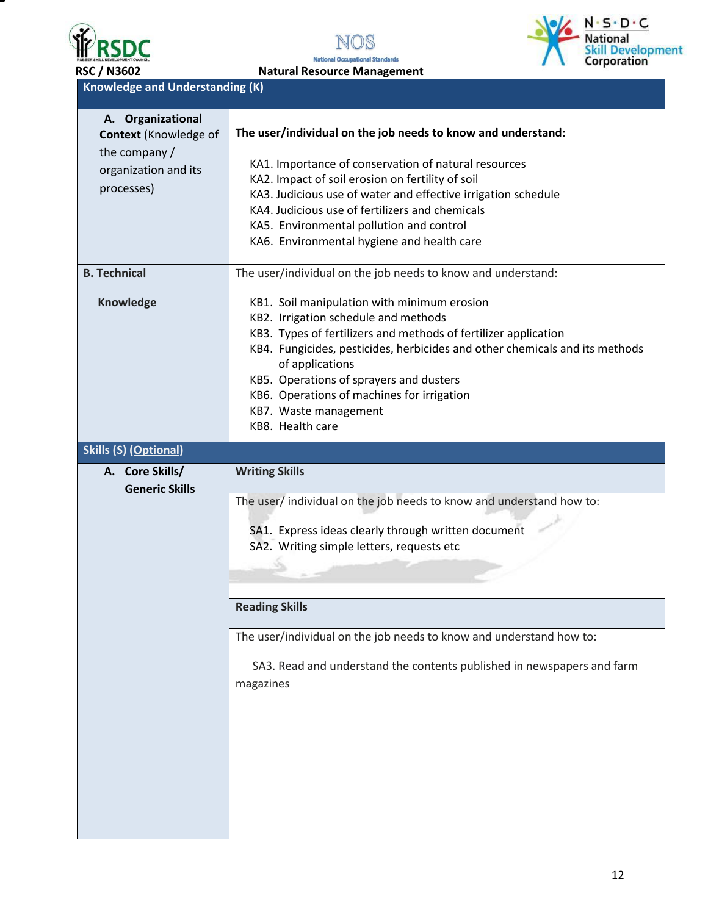

Ξ





| <b>RSC / N3602</b>                                  | <b>Natural Resource Management</b> |
|-----------------------------------------------------|------------------------------------|
| <b>Knowledge and Understanding <math>(K)</math></b> |                                    |

| A. Organizational            |                                                                             |
|------------------------------|-----------------------------------------------------------------------------|
| <b>Context</b> (Knowledge of | The user/individual on the job needs to know and understand:                |
| the company /                | KA1. Importance of conservation of natural resources                        |
| organization and its         | KA2. Impact of soil erosion on fertility of soil                            |
| processes)                   | KA3. Judicious use of water and effective irrigation schedule               |
|                              | KA4. Judicious use of fertilizers and chemicals                             |
|                              | KA5. Environmental pollution and control                                    |
|                              | KA6. Environmental hygiene and health care                                  |
|                              |                                                                             |
| <b>B. Technical</b>          | The user/individual on the job needs to know and understand:                |
| Knowledge                    | KB1. Soil manipulation with minimum erosion                                 |
|                              | KB2. Irrigation schedule and methods                                        |
|                              | KB3. Types of fertilizers and methods of fertilizer application             |
|                              | KB4. Fungicides, pesticides, herbicides and other chemicals and its methods |
|                              | of applications                                                             |
|                              | KB5. Operations of sprayers and dusters                                     |
|                              | KB6. Operations of machines for irrigation                                  |
|                              | KB7. Waste management                                                       |
|                              | KB8. Health care                                                            |
| <b>Skills (S) (Optional)</b> |                                                                             |
| A. Core Skills/              | <b>Writing Skills</b>                                                       |
| <b>Generic Skills</b>        | The user/ individual on the job needs to know and understand how to:        |
|                              |                                                                             |
|                              | SA1. Express ideas clearly through written document                         |
|                              | SA2. Writing simple letters, requests etc                                   |
|                              |                                                                             |
|                              |                                                                             |
|                              | <b>Reading Skills</b>                                                       |
|                              |                                                                             |
|                              | The user/individual on the job needs to know and understand how to:         |
|                              | SA3. Read and understand the contents published in newspapers and farm      |
|                              |                                                                             |
|                              | magazines                                                                   |
|                              |                                                                             |
|                              |                                                                             |
|                              |                                                                             |
|                              |                                                                             |
|                              |                                                                             |
|                              |                                                                             |
|                              |                                                                             |
|                              |                                                                             |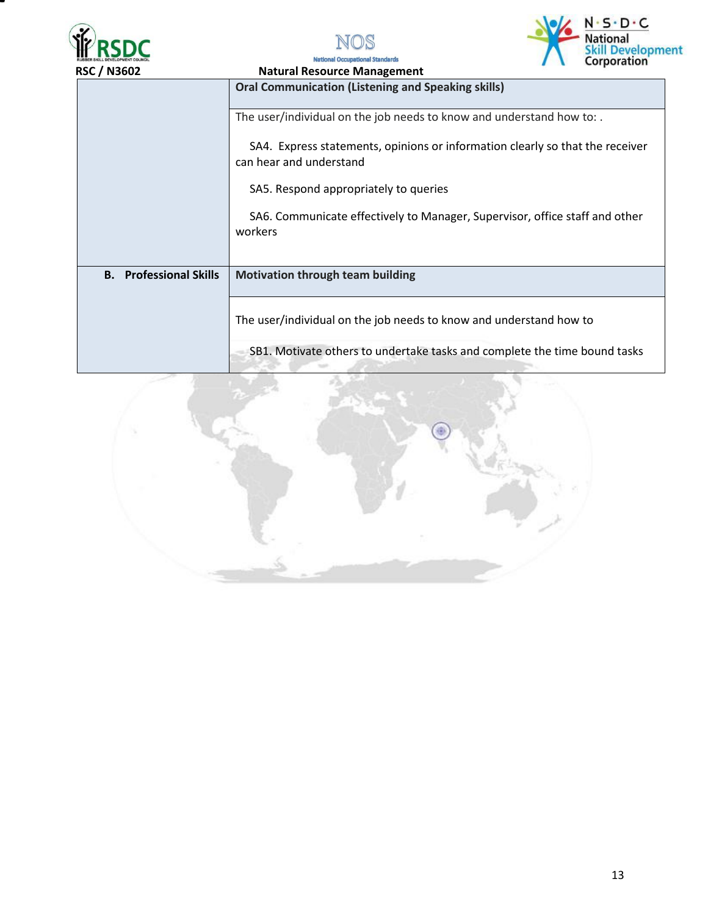





**National Oc** al Standards

| שטפוו <i>ן</i> טכח            | <b>Natural Resource Management</b>                                                                       |  |  |
|-------------------------------|----------------------------------------------------------------------------------------------------------|--|--|
|                               | <b>Oral Communication (Listening and Speaking skills)</b>                                                |  |  |
|                               | The user/individual on the job needs to know and understand how to:.                                     |  |  |
|                               | SA4. Express statements, opinions or information clearly so that the receiver<br>can hear and understand |  |  |
|                               | SA5. Respond appropriately to queries                                                                    |  |  |
|                               | SA6. Communicate effectively to Manager, Supervisor, office staff and other<br>workers                   |  |  |
| <b>B.</b> Professional Skills | <b>Motivation through team building</b>                                                                  |  |  |
|                               | The user/individual on the job needs to know and understand how to                                       |  |  |
|                               | SB1. Motivate others to undertake tasks and complete the time bound tasks                                |  |  |

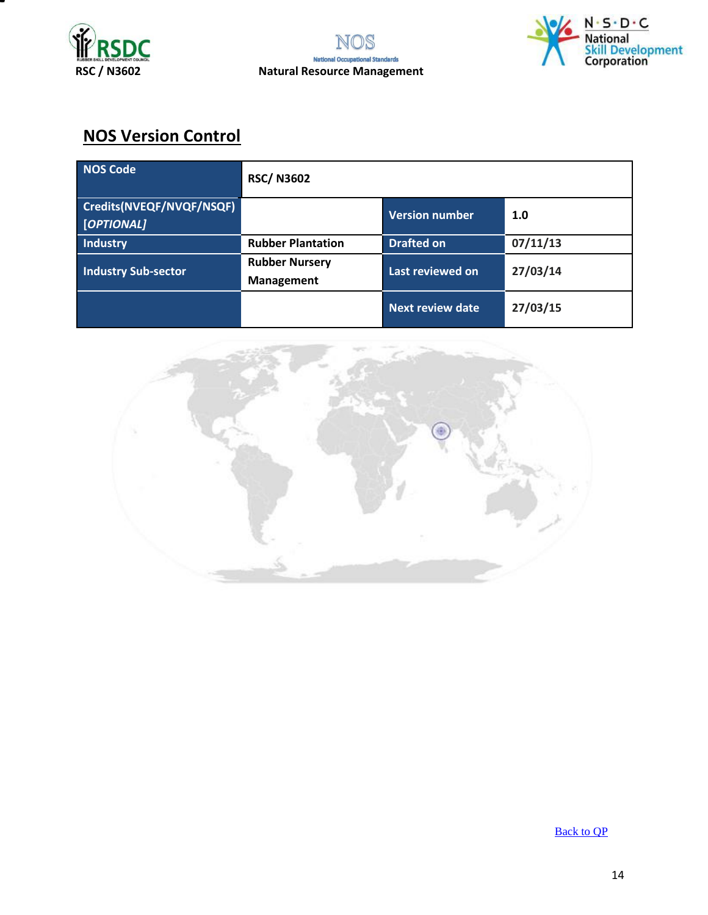



## **NOS Version Control**

| <b>NOS Code</b>                        | <b>RSC/N3602</b>                           |                         |          |
|----------------------------------------|--------------------------------------------|-------------------------|----------|
| Credits(NVEQF/NVQF/NSQF)<br>[OPTIONAL] |                                            | Version number          | 1.0      |
| Industry                               | <b>Rubber Plantation</b>                   | <b>Drafted on</b>       | 07/11/13 |
| <b>Industry Sub-sector</b>             | <b>Rubber Nursery</b><br><b>Management</b> | Last reviewed on        | 27/03/14 |
|                                        |                                            | <b>Next review date</b> | 27/03/15 |



[Back to QP](#page-1-0)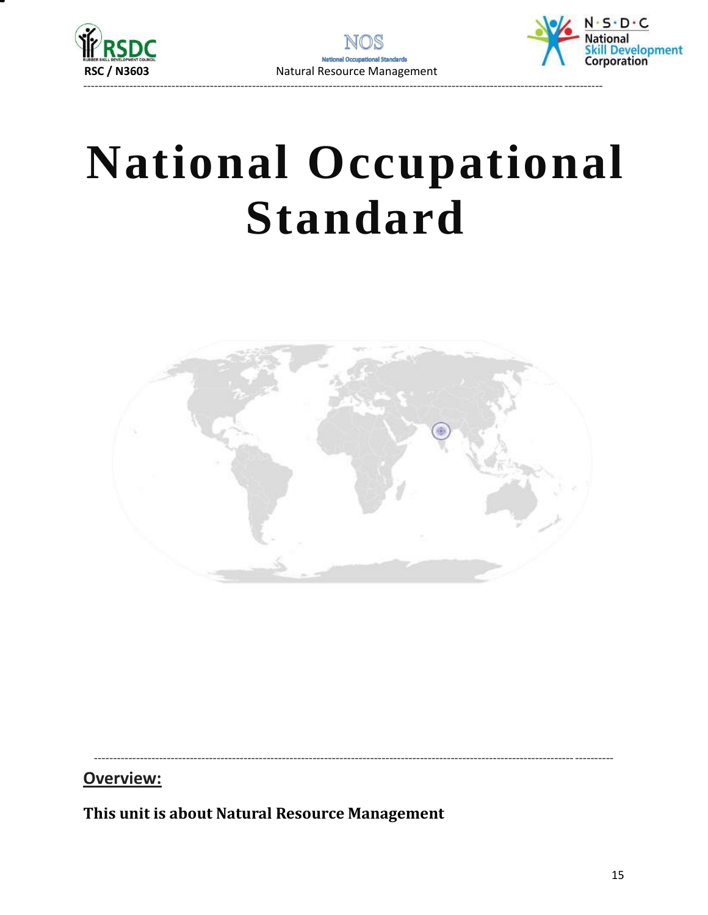



# **National Occupational Standard**



Overview:

<span id="page-14-0"></span>This unit is about Natural Resource Management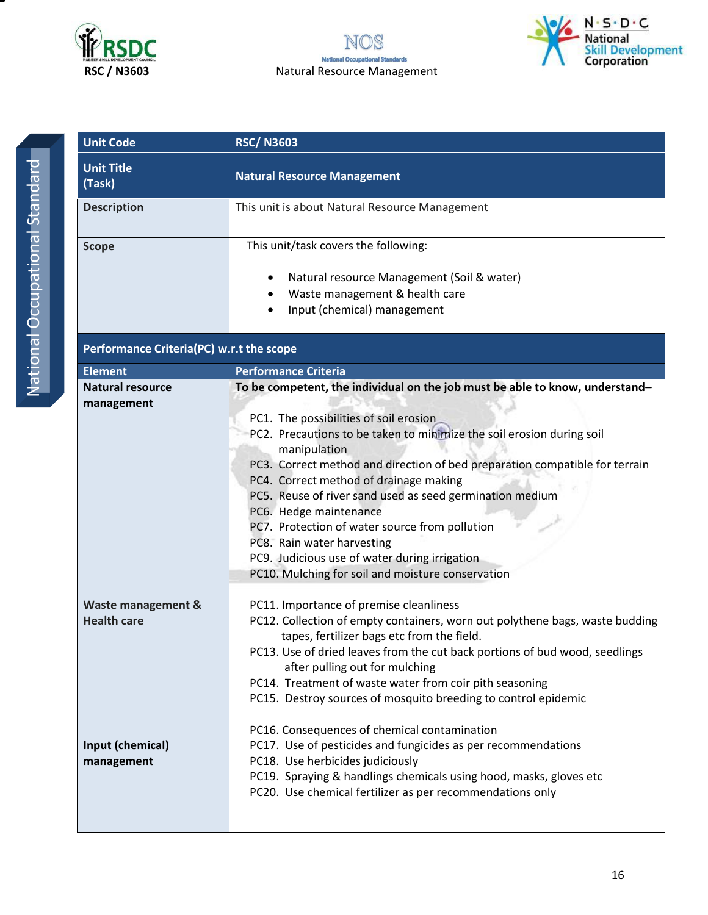



| ï |
|---|
| I |
|   |
| I |
|   |
|   |
| I |
|   |
|   |
|   |
|   |
| I |
|   |
| C |
| l |
|   |
|   |
|   |
|   |
|   |

| <b>Unit Code</b>                         | <b>RSC/N3603</b>                                                                                              |  |  |
|------------------------------------------|---------------------------------------------------------------------------------------------------------------|--|--|
| <b>Unit Title</b><br>(Task)              | <b>Natural Resource Management</b>                                                                            |  |  |
| <b>Description</b>                       | This unit is about Natural Resource Management                                                                |  |  |
| <b>Scope</b>                             | This unit/task covers the following:                                                                          |  |  |
|                                          | Natural resource Management (Soil & water)<br>$\bullet$                                                       |  |  |
|                                          | Waste management & health care                                                                                |  |  |
|                                          | Input (chemical) management                                                                                   |  |  |
| Performance Criteria(PC) w.r.t the scope |                                                                                                               |  |  |
| <b>Element</b>                           | <b>Performance Criteria</b>                                                                                   |  |  |
| <b>Natural resource</b>                  | To be competent, the individual on the job must be able to know, understand-                                  |  |  |
| management                               | PC1. The possibilities of soil erosion                                                                        |  |  |
|                                          | PC2. Precautions to be taken to minimize the soil erosion during soil                                         |  |  |
|                                          | manipulation                                                                                                  |  |  |
|                                          | PC3. Correct method and direction of bed preparation compatible for terrain                                   |  |  |
|                                          | PC4. Correct method of drainage making                                                                        |  |  |
|                                          | PC5. Reuse of river sand used as seed germination medium                                                      |  |  |
|                                          | PC6. Hedge maintenance                                                                                        |  |  |
|                                          | PC7. Protection of water source from pollution                                                                |  |  |
|                                          | PC8. Rain water harvesting                                                                                    |  |  |
|                                          | PC9. Judicious use of water during irrigation<br>PC10. Mulching for soil and moisture conservation            |  |  |
|                                          |                                                                                                               |  |  |
| Waste management &                       | PC11. Importance of premise cleanliness                                                                       |  |  |
| <b>Health care</b>                       | PC12. Collection of empty containers, worn out polythene bags, waste budding                                  |  |  |
|                                          | tapes, fertilizer bags etc from the field.                                                                    |  |  |
|                                          | PC13. Use of dried leaves from the cut back portions of bud wood, seedlings<br>after pulling out for mulching |  |  |
|                                          | PC14. Treatment of waste water from coir pith seasoning                                                       |  |  |
|                                          | PC15. Destroy sources of mosquito breeding to control epidemic                                                |  |  |
|                                          |                                                                                                               |  |  |
|                                          | PC16. Consequences of chemical contamination                                                                  |  |  |
| Input (chemical)                         | PC17. Use of pesticides and fungicides as per recommendations                                                 |  |  |
| management                               | PC18. Use herbicides judiciously                                                                              |  |  |
|                                          | PC19. Spraying & handlings chemicals using hood, masks, gloves etc                                            |  |  |
|                                          | PC20. Use chemical fertilizer as per recommendations only                                                     |  |  |
|                                          |                                                                                                               |  |  |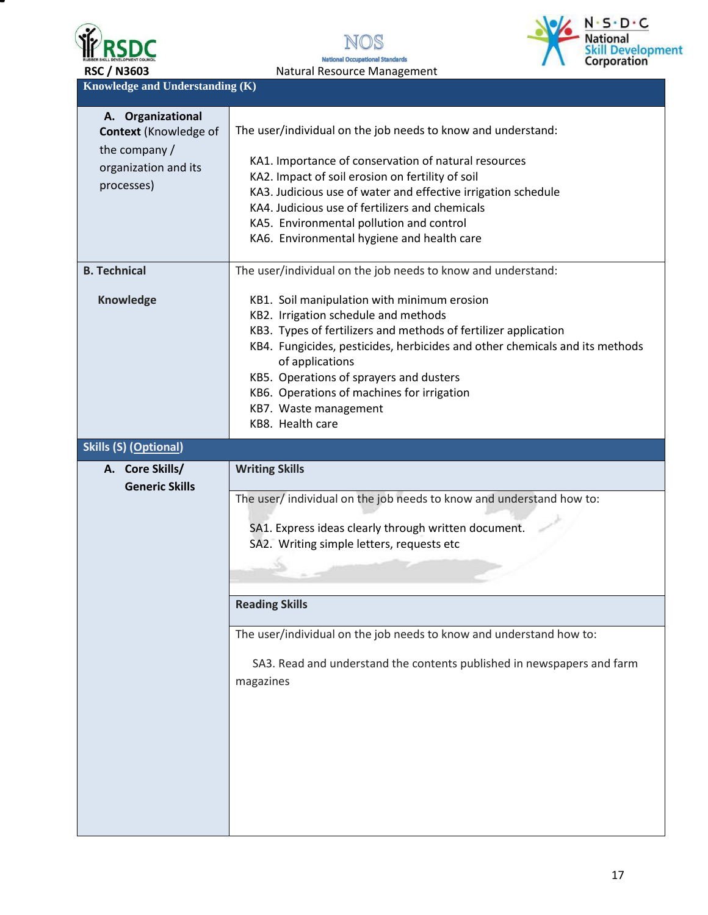





**Knowledge and Understanding (K)** 

| A. Organizational<br>Context (Knowledge of<br>the company / | The user/individual on the job needs to know and understand:                                                                                                                                                                                                                                                                                                                                   |  |  |  |
|-------------------------------------------------------------|------------------------------------------------------------------------------------------------------------------------------------------------------------------------------------------------------------------------------------------------------------------------------------------------------------------------------------------------------------------------------------------------|--|--|--|
| organization and its<br>processes)                          | KA1. Importance of conservation of natural resources<br>KA2. Impact of soil erosion on fertility of soil<br>KA3. Judicious use of water and effective irrigation schedule<br>KA4. Judicious use of fertilizers and chemicals<br>KA5. Environmental pollution and control<br>KA6. Environmental hygiene and health care                                                                         |  |  |  |
| <b>B. Technical</b>                                         | The user/individual on the job needs to know and understand:                                                                                                                                                                                                                                                                                                                                   |  |  |  |
| Knowledge                                                   | KB1. Soil manipulation with minimum erosion<br>KB2. Irrigation schedule and methods<br>KB3. Types of fertilizers and methods of fertilizer application<br>KB4. Fungicides, pesticides, herbicides and other chemicals and its methods<br>of applications<br>KB5. Operations of sprayers and dusters<br>KB6. Operations of machines for irrigation<br>KB7. Waste management<br>KB8. Health care |  |  |  |
| <b>Skills (S) (Optional)</b>                                |                                                                                                                                                                                                                                                                                                                                                                                                |  |  |  |
|                                                             |                                                                                                                                                                                                                                                                                                                                                                                                |  |  |  |
|                                                             |                                                                                                                                                                                                                                                                                                                                                                                                |  |  |  |
| A. Core Skills/                                             | <b>Writing Skills</b>                                                                                                                                                                                                                                                                                                                                                                          |  |  |  |
| <b>Generic Skills</b>                                       | The user/ individual on the job needs to know and understand how to:<br>SA1. Express ideas clearly through written document.<br>SA2. Writing simple letters, requests etc                                                                                                                                                                                                                      |  |  |  |
|                                                             | <b>Reading Skills</b>                                                                                                                                                                                                                                                                                                                                                                          |  |  |  |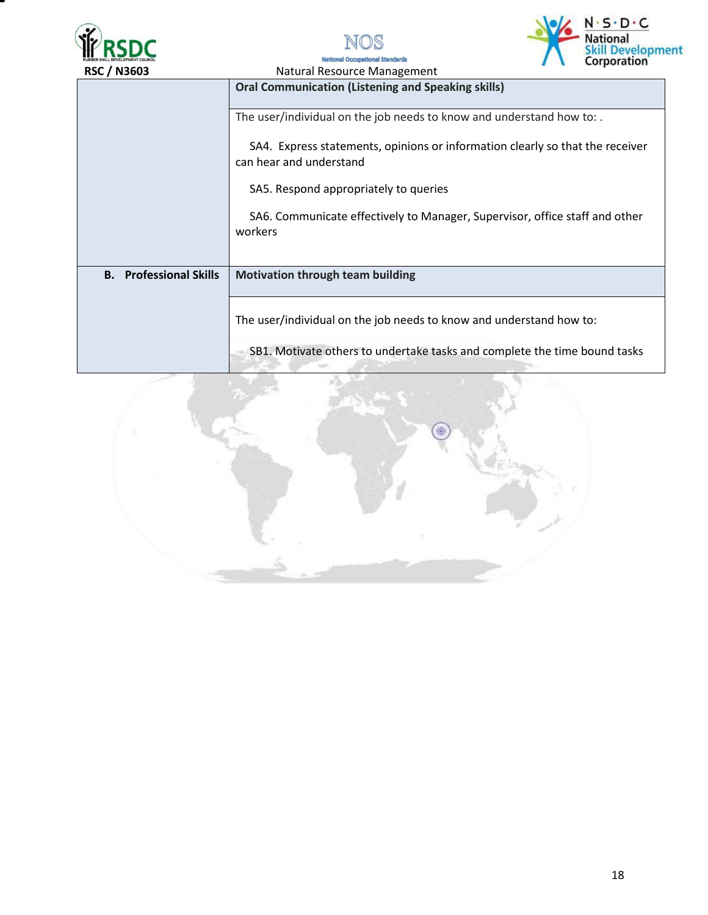



**National Oc** 



| <b>RSC / N3603</b>            | $\sqrt{2}$<br>Natural Resource Management                                                                |  |  |  |
|-------------------------------|----------------------------------------------------------------------------------------------------------|--|--|--|
|                               | <b>Oral Communication (Listening and Speaking skills)</b>                                                |  |  |  |
|                               | The user/individual on the job needs to know and understand how to:.                                     |  |  |  |
|                               | SA4. Express statements, opinions or information clearly so that the receiver<br>can hear and understand |  |  |  |
|                               | SA5. Respond appropriately to queries                                                                    |  |  |  |
|                               | SA6. Communicate effectively to Manager, Supervisor, office staff and other<br>workers                   |  |  |  |
| <b>B.</b> Professional Skills | <b>Motivation through team building</b>                                                                  |  |  |  |
|                               | The user/individual on the job needs to know and understand how to:                                      |  |  |  |
|                               | SB1. Motivate others to undertake tasks and complete the time bound tasks                                |  |  |  |